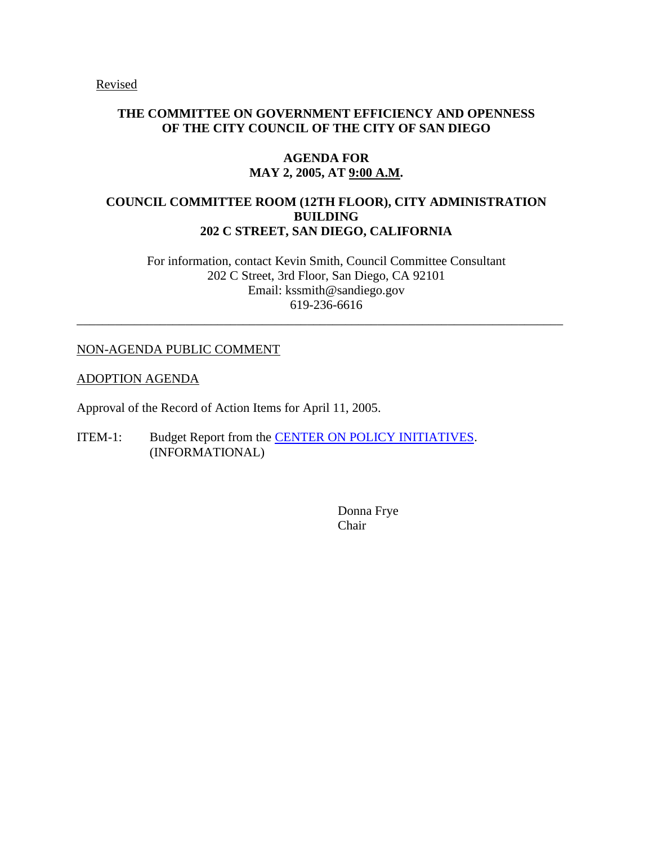Revised

## **THE COMMITTEE ON GOVERNMENT EFFICIENCY AND OPENNESS OF THE CITY COUNCIL OF THE CITY OF SAN DIEGO**

### **AGENDA FOR MAY 2, 2005, AT 9:00 A.M.**

# **COUNCIL COMMITTEE ROOM (12TH FLOOR), CITY ADMINISTRATION BUILDING 202 C STREET, SAN DIEGO, CALIFORNIA**

For information, contact Kevin Smith, Council Committee Consultant 202 C Street, 3rd Floor, San Diego, CA 92101 Email: kssmith@sandiego.gov 619-236-6616

\_\_\_\_\_\_\_\_\_\_\_\_\_\_\_\_\_\_\_\_\_\_\_\_\_\_\_\_\_\_\_\_\_\_\_\_\_\_\_\_\_\_\_\_\_\_\_\_\_\_\_\_\_\_\_\_\_\_\_\_\_\_\_\_\_\_\_\_\_\_\_\_\_\_\_\_

## NON-AGENDA PUBLIC COMMENT

#### ADOPTION AGENDA

Approval of the Record of Action Items for April 11, 2005.

ITEM-1: Budget Report from the **CENTER ON POLICY INITIATIVES**. (INFORMATIONAL)

> Donna Frye Chair